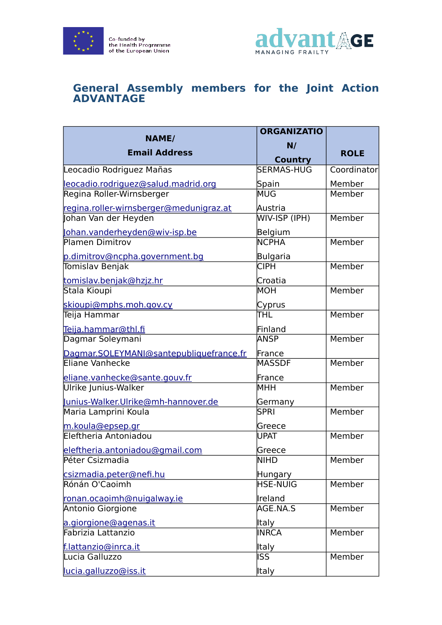



## **General Assembly members for the Joint Action ADVANTAGE**

| <b>NAME/</b>                            | <b>ORGANIZATIO</b>   |             |
|-----------------------------------------|----------------------|-------------|
|                                         | N/                   |             |
| <b>Email Address</b>                    | <b>Country</b>       | <b>ROLE</b> |
| Leocadio Rodriguez Mañas                | <b>SERMAS-HUG</b>    | Coordinator |
| leocadio.rodriguez@salud.madrid.org     | Spain                | Member      |
| Regina Roller-Wirnsberger               | MUG                  | Member      |
| regina.roller-wirnsberger@medunigraz.at | Austria              |             |
| Johan Van der Heyden                    | <b>WIV-ISP (IPH)</b> | Member      |
| lohan.vanderheyden@wiv-isp.be           | Belgium              |             |
| Plamen Dimitrov                         | <b>NCPHA</b>         | Member      |
| p.dimitrov@ncpha.government.bg          | Bulgaria             |             |
| Tomislav Benjak                         | <b>CIPH</b>          | Member      |
| tomislav.benjak@hzjz.hr                 | Croatia              |             |
| Stala Kioupi                            | MOH                  | Member      |
| skioupi@mphs.moh.gov.cy                 | Cyprus               |             |
| Teija Hammar                            | ITHL                 | Member      |
| Teija.hammar@thl.fi                     | Finland              |             |
| Dagmar Soleymani                        | <b>ANSP</b>          | Member      |
| Dagmar.SOLEYMANI@santepubliquefrance.fr | France               |             |
| Eliane Vanhecke                         | MASSDF               | Member      |
| eliane.vanhecke@sante.gouv.fr           | France               |             |
| Ulrike Junius-Walker                    | MHH                  | Member      |
| unius-Walker.Ulrike@mh-hannover.de      | Germany              |             |
| Maria Lamprini Koula                    | <b>SPRI</b>          | Member      |
| m.koula@epsep.gr                        | Greece               |             |
| Eleftheria Antoniadou                   | UPAT                 | Member      |
| eleftheria.antoniadou@gmail.com         | Greece               |             |
| Péter Csizmadia                         | <b>NIHD</b>          | Member      |
| csizmadia.peter@nefi.hu                 | Hungary              |             |
| Rónán O'Caoimh                          | HSE-NUIG             | Member      |
| ronan.ocaoimh@nuigalway.ie              | Ireland              |             |
| Antonio Giorgione                       | AGE.NA.S             | Member      |
| a.giorgione@agenas.it                   | Italy                |             |
| Fabrizia Lattanzio                      | <b>INRCA</b>         | Member      |
| f.lattanzio@inrca.it                    | Italy                |             |
| Lucia Galluzzo                          | ISS                  | Member      |
| lucia.galluzzo@iss.it                   | <b>Italy</b>         |             |